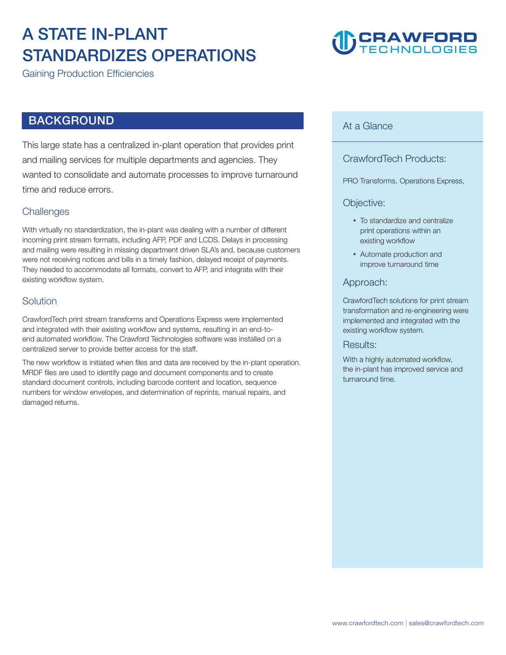### **A STATE IN-PLANT STANDARDIZES OPERATIONS**

**Gaining Production Efficiencies** 

### **BACKGROUND**

**This large state has a centralized in-plant operation that provides print and mailing services for multiple departments and agencies. They wanted to consolidate and automate processes to improve turnaround time and reduce errors.** 

#### **Challenges**

**With virtually no standardization, the in-plant was dealing with a number of different incoming print stream formats, including AFP, PDF and LCDS. Delays in processing and mailing were resulting in missing department driven SLA's and, because customers were not receiving notices and bills in a timely fashion, delayed receipt of payments. They needed to accommodate all formats, convert to AFP, and integrate with their existing workflow system.** 

#### **Solution**

**CrawfordTech print stream transforms and Operations Express were implemented and integrated with their existing workflow and systems, resulting in an end-toend automated workflow. The Crawford Technologies software was installed on a centralized server to provide better access for the staff.** 

**The new workflow is initiated when files and data are received by the in-plant operation. MRDF files are used to identify page and document components and to create standard document controls, including barcode content and location, sequence numbers for window envelopes, and determination of reprints, manual repairs, and damaged returns.** 

## **CRAWFORD**<br>TECHNOLOGIES

#### **At a Glance**

#### **CrawfordTech Products:**

**PRO Transforms, Operations Express,** 

#### **Objective:**

- **To standardize and centralize print operations within an existing workflow**
- **Automate production and improve turnaround time**

#### **Approach:**

**CrawfordTech solutions for print stream transformation and re-engineering were implemented and integrated with the existing workflow system.** 

#### **Results:**

**With a highly automated workflow, the in-plant has improved service and turnaround time.**